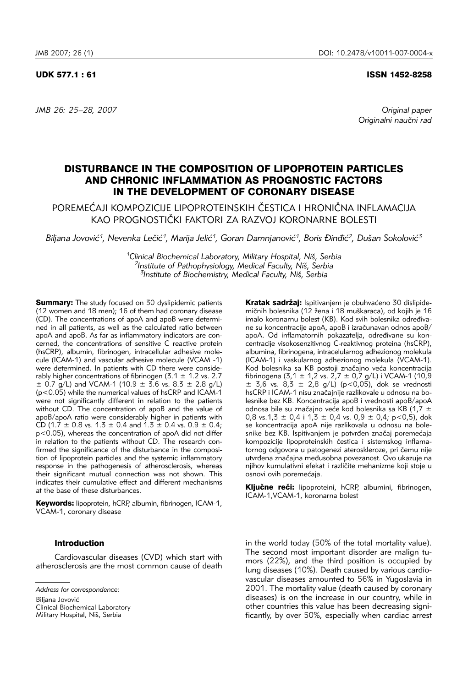#### UDK 577.1 : 61 ISSN 1452-8258

*JMB 26: 25–28, 2007 Original paper* 

Originalni naučni rad

# DISTURBANCE IN THE COMPOSITION OF LIPOPROTEIN PARTICLES AND CHRONIC INFLAMMATION AS PROGNOSTIC FACTORS IN THE DEVELOPMENT OF CORONARY DISEASE

POREMEĆAJI KOMPOZICIJE LIPOPROTEINSKIH ČESTICA I HRONIČNA INFLAMACIJA KAO PROGNOSTIČKI FAKTORI ZA RAZVOJ KORONARNE BOLESTI

Biljana Jovović<sup>1</sup>, Nevenka Lečić<sup>1</sup>, Marija Jelić<sup>1</sup>, Goran Damnjanović<sup>1</sup>, Boris Đinđić<sup>2</sup>, Dušan Sokolović<sup>3</sup>

*1Clinical Biochemical Laboratory, Military Hospital, Ni{, Serbia* <sup>2</sup>Institute of Pathophysiology, Medical Faculty, Niš, Serbia *3Institute of Biochemistry, Medical Faculty, Ni{, Serbia*

**Summary:** The study focused on 30 dyslipidemic patients (12 women and 18 men); 16 of them had coronary disease (CD). The concentrations of apoA and apoB were determined in all patients, as well as the calculated ratio between apoA and apoB. As far as inflammatory indicators are concerned, the concentrations of sensitive C reactive protein (hsCRP), albumin, fibrinogen, intracellular adhesive molecule (ICAM-1) and vascular adhesive molecule (VCAM -1) were determined. In patients with CD there were considerably higher concentrations of fibrinogen (3.1  $\pm$  1.2 vs. 2.7  $\pm$  0.7 g/L) and VCAM-1 (10.9  $\pm$  3.6 vs. 8.3  $\pm$  2.8 g/L) (p<0.05) while the numerical values of hsCRP and ICAM-1 were not significantly different in relation to the patients without CD. The concentration of apoB and the value of apoB/apoA ratio were considerably higher in patients with CD (1.7  $\pm$  0.8 vs. 1.3  $\pm$  0.4 and 1.3  $\pm$  0.4 vs. 0.9  $\pm$  0.4; p<0.05), whereas the concentration of apoA did not differ in relation to the patients without CD. The research confirmed the significance of the disturbance in the composition of lipoprotein particles and the systemic inflammatory response in the pathogenesis of atherosclerosis, whereas their significant mutual connection was not shown. This indicates their cumulative effect and different mechanisms at the base of these disturbances.

Keywords: lipoprotein, hCRP, albumin, fibrinogen, ICAM-1, VCAM-1, coronary disease

### Introduction

Cardiovascular diseases (CVD) which start with atherosclerosis are the most common cause of death

Biljana Jovović

Kratak sadržai: Ispitivaniem je obuhvaćeno 30 dislipidemičnih bolesnika (12 žena i 18 muškaraca), od kojih je 16 imalo koronarnu bolest (KB). Kod svih bolesnika određivane su koncentracije apoA, apoB i izračunavan odnos apoB/ apoA. Od inflamatornih pokazatelja, određivane su koncentracije visokosenzitivnog C-reaktivnog proteina (hsCRP), albumina, fibrinogena, intracelularnog adhezionog molekula (ICAM-1) i vaskularnog adhezionog molekula (VCAM-1). Kod bolesnika sa KB postoji značajno veća koncentracija fibrinogena (3,1 ± 1,2 vs. 2,7 ± 0,7 g/L) i VCAM-1 (10,9  $\pm$  3,6 vs. 8,3  $\pm$  2,8 g/L) (p<0,05), dok se vrednosti hsCRP i ICAM-1 nisu značajnije razlikovale u odnosu na bolesnike bez KB. Koncentracija apoB i vrednosti apoB/apoA odnosa bile su značajno veće kod bolesnika sa KB (1,7  $\pm$ 0,8 vs.1,3  $\pm$  0,4 i 1,3  $\pm$  0,4 vs. 0,9  $\pm$  0,4; p < 0,5), dok se koncentracija apoA nije razlikovala u odnosu na bolesnike bez KB. Ispitivanjem je potvrđen značaj poremećaja kompozicije lipoproteinskih čestica i sistemskog inflamatornog odgovora u patogenezi ateroskleroze, pri čemu nije utvrđena značajna međusobna povezanost. Ovo ukazuje na njihov kumulativni efekat i različite mehanizme koji stoje u osnovi ovih poremećaja.

Ključne reči: lipoproteini, hCRP, albumini, fibrinogen, ICAM-1,VCAM-1, koronarna bolest

in the world today (50% of the total mortality value). The second most important disorder are malign tumors (22%), and the third position is occupied by lung diseases (10%). Death caused by various cardiovascular diseases amounted to 56% in Yugoslavia in 2001. The mortality value (death caused by coronary diseases) is on the increase in our country, while in other countries this value has been decreasing significantly, by over 50%, especially when cardiac arrest

*Address for correspondence:* 

Clinical Biochemical Laboratory Military Hospital, Niš, Serbia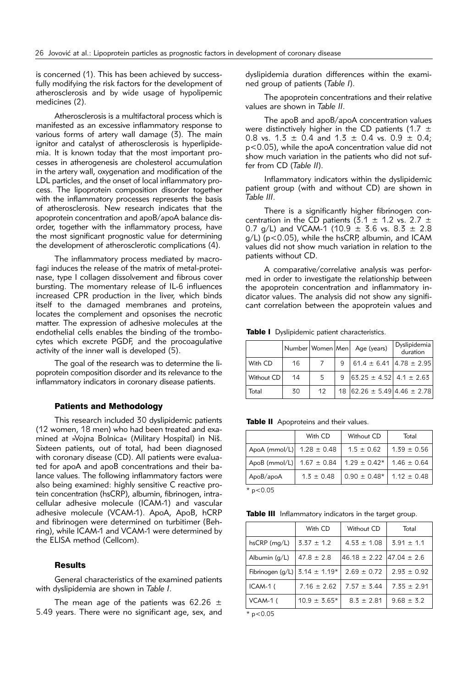is concerned (1). This has been achieved by successfully modifying the risk factors for the development of atherosclerosis and by wide usage of hypolipemic medicines (2).

Atherosclerosis is a multifactoral process which is manifested as an excessive inflammatory response to various forms of artery wall damage (3). The main ignitor and catalyst of atherosclerosis is hyperlipidemia. It is known today that the most important processes in atherogenesis are cholesterol accumulation in the artery wall, oxygenation and modification of the LDL particles, and the onset of local inflammatory process. The lipoprotein composition disorder together with the inflammatory processes represents the basis of atherosclerosis. New research indicates that the apoprotein concentration and apoB/apoA balance disorder, together with the inflammatory process, have the most significant prognostic value for determining the development of atherosclerotic complications (4).

The inflammatory process mediated by macrofagi induces the release of the matrix of metal-proteinase, type I collagen dissolvement and fibrous cover bursting. The momentary release of IL-6 influences increased CPR production in the liver, which binds itself to the damaged membranes and proteins, locates the complement and opsonises the necrotic matter. The expression of adhesive molecules at the endothelial cells enables the binding of the trombocytes which excrete PGDF, and the procoagulative activity of the inner wall is developed (5).

The goal of the research was to determine the lipoprotein composition disorder and its relevance to the inflammatory indicators in coronary disease patients.

#### Patients and Methodology

This research included 30 dyslipidemic patients (12 women, 18 men) who had been treated and examined at »Vojna Bolnica« (Military Hospital) in Niš. Sixteen patients, out of total, had been diagnosed with coronary disease (CD). All patients were evaluated for apoA and apoB concentrations and their balance values. The following inflammatory factors were also being examined: highly sensitive C reactive protein concentration (hsCRP), albumin, fibrinogen, intracellular adhesive molecule (ICAM-1) and vascular adhesive molecule (VCAM-1). ApoA, ApoB, hCRP and fibrinogen were determined on turbitimer (Behring), while ICAM-1 and VCAM-1 were determined by the ELISA method (Cellcom).

## **Results**

General characteristics of the examined patients with dyslipidemia are shown in *Table I*.

The mean age of the patients was 62.26  $\pm$ 5.49 years. There were no significant age, sex, and dyslipidemia duration differences within the examined group of patients (*Table I*).

The apoprotein concentrations and their relative values are shown in *Table II*.

The apoB and apoB/apoA concentration values were distinctively higher in the CD patients (1.7  $\pm$ 0.8 vs. 1.3  $\pm$  0.4 and 1.3  $\pm$  0.4 vs. 0.9  $\pm$  0.4; p<0.05), while the apoA concentration value did not show much variation in the patients who did not suffer from CD (*Table II*).

Inflammatory indicators within the dyslipidemic patient group (with and without CD) are shown in *Table III*.

There is a significantly higher fibrinogen concentration in the CD patients (3.1  $\pm$  1.2 vs. 2.7  $\pm$ 0.7 g/L) and VCAM-1 (10.9  $\pm$  3.6 vs. 8.3  $\pm$  2.8  $q/L$ ) ( $p < 0.05$ ), while the hsCRP, albumin, and ICAM values did not show much variation in relation to the patients without CD.

A comparative/correlative analysis was performed in order to investigate the relationship between the apoprotein concentration and inflammatory indicator values. The analysis did not show any significant correlation between the apoprotein values and

Table I Dyslipidemic patient characteristics.

|            |    |    |   | Number   Women   Men   Age (years)                 | Dyslipidemia<br>duration |
|------------|----|----|---|----------------------------------------------------|--------------------------|
| With CD    | 16 |    | 9 | $ 61.4 \pm 6.41 4.78 \pm 2.95 $                    |                          |
| Without CD | 14 | 5  | 9 | $ 63.25 \pm 4.52 $ 4.1 $\pm$ 2.63                  |                          |
| Total      | 30 | 12 |   | 18 $\left  62.26 \pm 5.49 \right $ 4.46 $\pm$ 2.78 |                          |

Table II Apoproteins and their values.

|                                                                   | With CD        | Without CD                          | Total           |  |  |
|-------------------------------------------------------------------|----------------|-------------------------------------|-----------------|--|--|
| ApoA (mmol/L) $1.28 \pm 0.48$                                     |                | $1.5 \pm 0.62$                      | $1.39 \pm 0.56$ |  |  |
| ApoB (mmol/L) $1.67 \pm 0.84$   $1.29 \pm 0.42$   $1.46 \pm 0.64$ |                |                                     |                 |  |  |
| ApoB/apoA                                                         | $1.3 \pm 0.48$ | $0.90 \pm 0.48$ *   1.12 $\pm$ 0.48 |                 |  |  |
| als.<br>$\sim$ $\sim$ $\sim$                                      |                |                                     |                 |  |  |

 $*$  p<0.05

Table III Inflammatory indicators in the target group.

|                                     | With CD          | Without CD                        | Total           |
|-------------------------------------|------------------|-----------------------------------|-----------------|
| $hsCRP$ (mg/L)                      | $3.37 \pm 1.2$   | $4.53 \pm 1.08$                   | $3.91 \pm 1.1$  |
| Albumin $(q/L)$                     | $47.8 \pm 2.8$   | $46.18 \pm 2.22$ $147.04 \pm 2.6$ |                 |
| Fibrinogen (g/L)   $3.14 \pm 1.19*$ |                  | $2.69 \pm 0.72$                   | $2.93 \pm 0.92$ |
| ICAM-1 (                            | $7.16 \pm 2.62$  | $7.57 \pm 3.44$                   | $7.35 \pm 2.91$ |
| VCAM-1 (                            | $10.9 \pm 3.65*$ | $8.3 \pm 2.81$                    | $9.68 \pm 3.2$  |

 $*$  p<0.05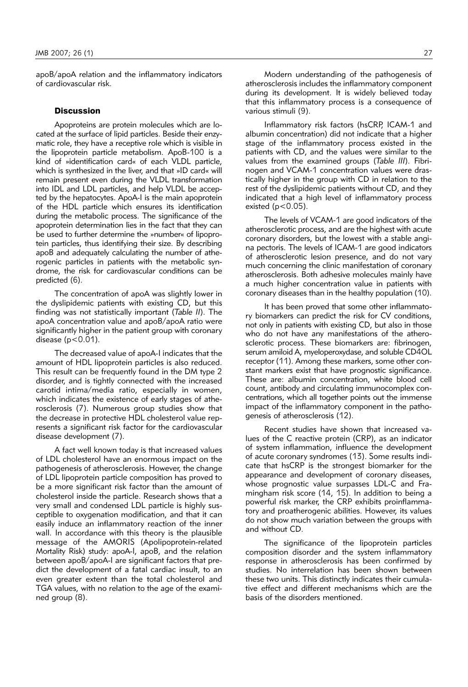apoB/apoA relation and the inflammatory indicators of cardiovascular risk.

### **Discussion**

Apoproteins are protein molecules which are located at the surface of lipid particles. Beside their enzymatic role, they have a receptive role which is visible in the lipoprotein particle metabolism. ApoB-100 is a kind of »identification card« of each VLDL particle, which is synthesized in the liver, and that »ID card« will remain present even during the VLDL transformation into IDL and LDL particles, and help VLDL be accepted by the hepatocytes. ApoA-I is the main apoprotein of the HDL particle which ensures its identification during the metabolic process. The significance of the apoprotein determination lies in the fact that they can be used to further determine the »number« of lipoprotein particles, thus identifying their size. By describing apoB and adequately calculating the number of atherogenic particles in patients with the metabolic syndrome, the risk for cardiovascular conditions can be predicted (6).

The concentration of apoA was slightly lower in the dyslipidemic patients with existing CD, but this finding was not statistically important (*Table II*). The apoA concentration value and apoB/apoA ratio were significantly higher in the patient group with coronary disease  $(p < 0.01)$ .

The decreased value of apoA-I indicates that the amount of HDL lipoprotein particles is also reduced. This result can be frequently found in the DM type 2 disorder, and is tightly connected with the increased carotid intima/media ratio, especially in women, which indicates the existence of early stages of atherosclerosis (7). Numerous group studies show that the decrease in protective HDL cholesterol value represents a significant risk factor for the cardiovascular disease development (7).

A fact well known today is that increased values of LDL cholesterol have an enormous impact on the pathogenesis of atherosclerosis. However, the change of LDL lipoprotein particle composition has proved to be a more significant risk factor than the amount of cholesterol inside the particle. Research shows that a very small and condensed LDL particle is highly susceptible to oxygenation modification, and that it can easily induce an inflammatory reaction of the inner wall. In accordance with this theory is the plausible message of the AMORIS (Apolipoprotein-related Mortality Risk) study: apoA-I, apoB, and the relation between apoB/apoA-I are significant factors that predict the development of a fatal cardiac insult, to an even greater extent than the total cholesterol and TGA values, with no relation to the age of the examined group (8).

Modern understanding of the pathogenesis of atherosclerosis includes the inflammatory component during its development. It is widely believed today that this inflammatory process is a consequence of various stimuli (9).

Inflammatory risk factors (hsCRP, ICAM-1 and albumin concentration) did not indicate that a higher stage of the inflammatory process existed in the patients with CD, and the values were similar to the values from the examined groups (*Table III*). Fibrinogen and VCAM-1 concentration values were drastically higher in the group with CD in relation to the rest of the dyslipidemic patients without CD, and they indicated that a high level of inflammatory process existed ( $p < 0.05$ ).

The levels of VCAM-1 are good indicators of the atherosclerotic process, and are the highest with acute coronary disorders, but the lowest with a stable angina pectoris. The levels of ICAM-1 are good indicators of atherosclerotic lesion presence, and do not vary much concerning the clinic manifestation of coronary atherosclerosis. Both adhesive molecules mainly have a much higher concentration value in patients with coronary diseases than in the healthy population (10).

It has been proved that some other inflammatory biomarkers can predict the risk for CV conditions, not only in patients with existing CD, but also in those who do not have any manifestations of the atherosclerotic process. These biomarkers are: fibrinogen, serum amiloid A, myeloperoxydase, and soluble CD4OL receptor (11). Among these markers, some other constant markers exist that have prognostic significance. These are: albumin concentration, white blood cell count, antibody and circulating immunocomplex concentrations, which all together points out the immense impact of the inflammatory component in the pathogenesis of atherosclerosis (12).

Recent studies have shown that increased values of the C reactive protein (CRP), as an indicator of system inflammation, influence the development of acute coronary syndromes (13). Some results indicate that hsCRP is the strongest biomarker for the appearance and development of coronary diseases, whose prognostic value surpasses LDL-C and Framingham risk score (14, 15). In addition to being a powerful risk marker, the CRP exhibits proinflammatory and proatherogenic abilities. However, its values do not show much variation between the groups with and without CD.

The significance of the lipoprotein particles composition disorder and the system inflammatory response in atherosclerosis has been confirmed by studies. No interrelation has been shown between these two units. This distinctly indicates their cumulative effect and different mechanisms which are the basis of the disorders mentioned.